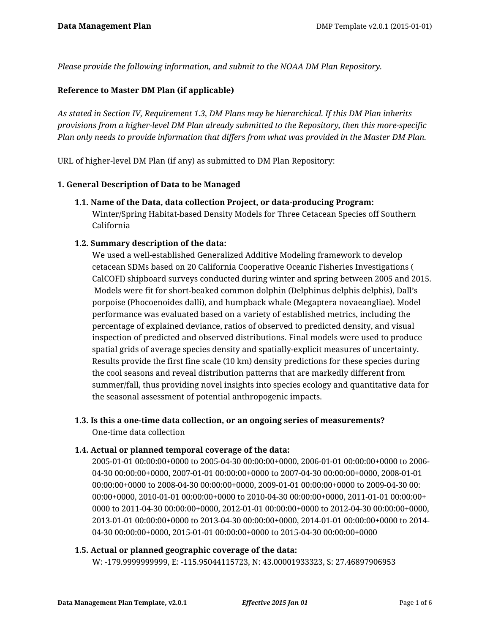*Please provide the following information, and submit to the NOAA DM Plan Repository.*

### **Reference to Master DM Plan (if applicable)**

*As stated in Section IV, Requirement 1.3, DM Plans may be hierarchical. If this DM Plan inherits provisions from a higher-level DM Plan already submitted to the Repository, then this more-specific Plan only needs to provide information that differs from what was provided in the Master DM Plan.*

URL of higher-level DM Plan (if any) as submitted to DM Plan Repository:

### **1. General Description of Data to be Managed**

**1.1. Name of the Data, data collection Project, or data-producing Program:** Winter/Spring Habitat-based Density Models for Three Cetacean Species off Southern California

### **1.2. Summary description of the data:**

We used a well-established Generalized Additive Modeling framework to develop cetacean SDMs based on 20 California Cooperative Oceanic Fisheries Investigations ( CalCOFI) shipboard surveys conducted during winter and spring between 2005 and 2015. Models were fit for short-beaked common dolphin (Delphinus delphis delphis), Dall's porpoise (Phocoenoides dalli), and humpback whale (Megaptera novaeangliae). Model performance was evaluated based on a variety of established metrics, including the percentage of explained deviance, ratios of observed to predicted density, and visual inspection of predicted and observed distributions. Final models were used to produce spatial grids of average species density and spatially-explicit measures of uncertainty. Results provide the first fine scale (10 km) density predictions for these species during the cool seasons and reveal distribution patterns that are markedly different from summer/fall, thus providing novel insights into species ecology and quantitative data for the seasonal assessment of potential anthropogenic impacts.

# **1.3. Is this a one-time data collection, or an ongoing series of measurements?** One-time data collection

### **1.4. Actual or planned temporal coverage of the data:**

2005-01-01 00:00:00+0000 to 2005-04-30 00:00:00+0000, 2006-01-01 00:00:00+0000 to 2006- 04-30 00:00:00+0000, 2007-01-01 00:00:00+0000 to 2007-04-30 00:00:00+0000, 2008-01-01 00:00:00+0000 to 2008-04-30 00:00:00+0000, 2009-01-01 00:00:00+0000 to 2009-04-30 00: 00:00+0000, 2010-01-01 00:00:00+0000 to 2010-04-30 00:00:00+0000, 2011-01-01 00:00:00+ 0000 to 2011-04-30 00:00:00+0000, 2012-01-01 00:00:00+0000 to 2012-04-30 00:00:00+0000, 2013-01-01 00:00:00+0000 to 2013-04-30 00:00:00+0000, 2014-01-01 00:00:00+0000 to 2014- 04-30 00:00:00+0000, 2015-01-01 00:00:00+0000 to 2015-04-30 00:00:00+0000

### **1.5. Actual or planned geographic coverage of the data:**

W: -179.9999999999, E: -115.95044115723, N: 43.00001933323, S: 27.46897906953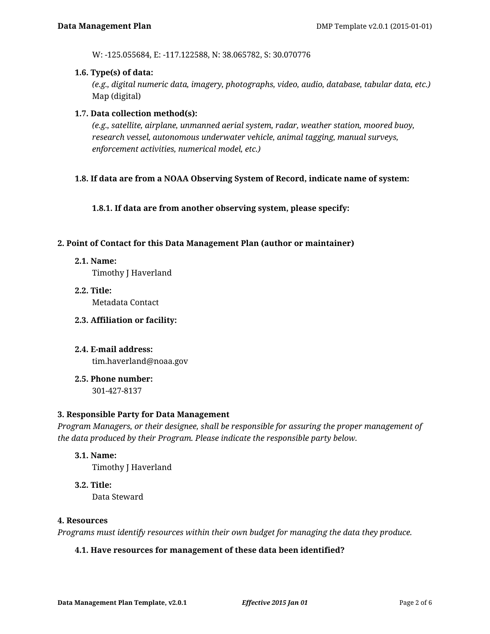W: -125.055684, E: -117.122588, N: 38.065782, S: 30.070776

### **1.6. Type(s) of data:**

*(e.g., digital numeric data, imagery, photographs, video, audio, database, tabular data, etc.)* Map (digital)

### **1.7. Data collection method(s):**

*(e.g., satellite, airplane, unmanned aerial system, radar, weather station, moored buoy, research vessel, autonomous underwater vehicle, animal tagging, manual surveys, enforcement activities, numerical model, etc.)*

### **1.8. If data are from a NOAA Observing System of Record, indicate name of system:**

**1.8.1. If data are from another observing system, please specify:**

### **2. Point of Contact for this Data Management Plan (author or maintainer)**

**2.1. Name:**

Timothy J Haverland

- **2.2. Title:** Metadata Contact
- **2.3. Affiliation or facility:**
- **2.4. E-mail address:** tim.haverland@noaa.gov
- **2.5. Phone number:** 301-427-8137

### **3. Responsible Party for Data Management**

*Program Managers, or their designee, shall be responsible for assuring the proper management of the data produced by their Program. Please indicate the responsible party below.*

**3.1. Name:**

Timothy J Haverland

**3.2. Title:** Data Steward

### **4. Resources**

*Programs must identify resources within their own budget for managing the data they produce.*

### **4.1. Have resources for management of these data been identified?**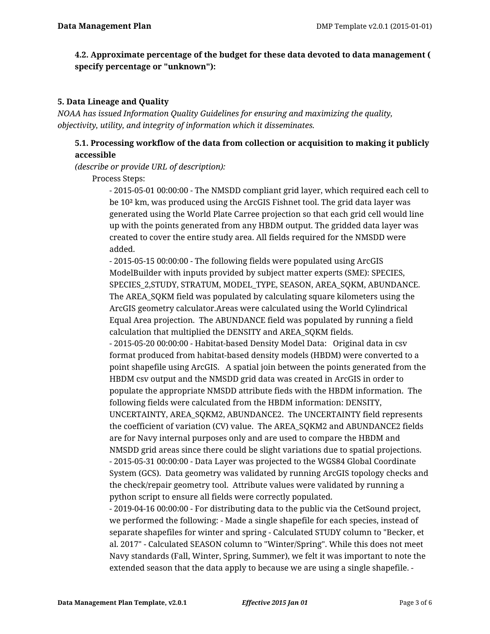## **4.2. Approximate percentage of the budget for these data devoted to data management ( specify percentage or "unknown"):**

### **5. Data Lineage and Quality**

*NOAA has issued Information Quality Guidelines for ensuring and maximizing the quality, objectivity, utility, and integrity of information which it disseminates.*

## **5.1. Processing workflow of the data from collection or acquisition to making it publicly accessible**

*(describe or provide URL of description):*

Process Steps:

- 2015-05-01 00:00:00 - The NMSDD compliant grid layer, which required each cell to be 10² km, was produced using the ArcGIS Fishnet tool. The grid data layer was generated using the World Plate Carree projection so that each grid cell would line up with the points generated from any HBDM output. The gridded data layer was created to cover the entire study area. All fields required for the NMSDD were added.

- 2015-05-15 00:00:00 - The following fields were populated using ArcGIS ModelBuilder with inputs provided by subject matter experts (SME): SPECIES, SPECIES\_2,STUDY, STRATUM, MODEL\_TYPE, SEASON, AREA\_SQKM, ABUNDANCE. The AREA\_SQKM field was populated by calculating square kilometers using the ArcGIS geometry calculator.Areas were calculated using the World Cylindrical Equal Area projection. The ABUNDANCE field was populated by running a field calculation that multiplied the DENSITY and AREA\_SQKM fields.

- 2015-05-20 00:00:00 - Habitat-based Density Model Data: Original data in csv format produced from habitat-based density models (HBDM) were converted to a point shapefile using ArcGIS. A spatial join between the points generated from the HBDM csv output and the NMSDD grid data was created in ArcGIS in order to populate the appropriate NMSDD attribute fieds with the HBDM information. The following fields were calculated from the HBDM information: DENSITY, UNCERTAINTY, AREA\_SQKM2, ABUNDANCE2. The UNCERTAINTY field represents the coefficient of variation (CV) value. The AREA\_SQKM2 and ABUNDANCE2 fields are for Navy internal purposes only and are used to compare the HBDM and NMSDD grid areas since there could be slight variations due to spatial projections. - 2015-05-31 00:00:00 - Data Layer was projected to the WGS84 Global Coordinate System (GCS). Data geometry was validated by running ArcGIS topology checks and the check/repair geometry tool. Attribute values were validated by running a python script to ensure all fields were correctly populated.

- 2019-04-16 00:00:00 - For distributing data to the public via the CetSound project, we performed the following: - Made a single shapefile for each species, instead of separate shapefiles for winter and spring - Calculated STUDY column to "Becker, et al. 2017" - Calculated SEASON column to "Winter/Spring". While this does not meet Navy standards (Fall, Winter, Spring, Summer), we felt it was important to note the extended season that the data apply to because we are using a single shapefile. -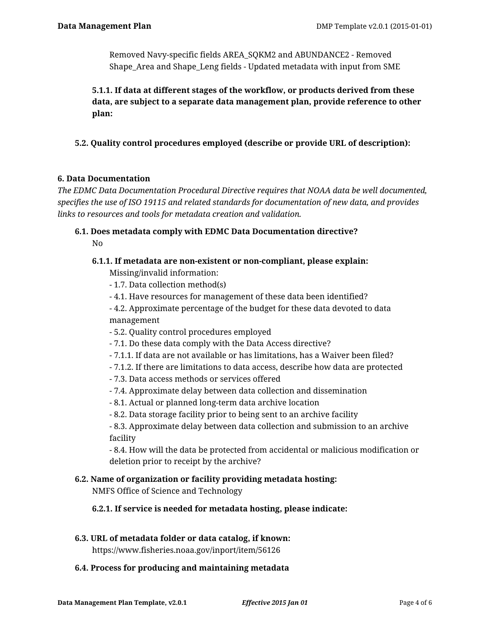Removed Navy-specific fields AREA\_SQKM2 and ABUNDANCE2 - Removed Shape\_Area and Shape\_Leng fields - Updated metadata with input from SME

**5.1.1. If data at different stages of the workflow, or products derived from these data, are subject to a separate data management plan, provide reference to other plan:**

**5.2. Quality control procedures employed (describe or provide URL of description):**

## **6. Data Documentation**

*The EDMC Data Documentation Procedural Directive requires that NOAA data be well documented, specifies the use of ISO 19115 and related standards for documentation of new data, and provides links to resources and tools for metadata creation and validation.*

## **6.1. Does metadata comply with EDMC Data Documentation directive?** No

## **6.1.1. If metadata are non-existent or non-compliant, please explain:**

Missing/invalid information:

- 1.7. Data collection method(s)
- 4.1. Have resources for management of these data been identified?

- 4.2. Approximate percentage of the budget for these data devoted to data management

- 5.2. Quality control procedures employed
- 7.1. Do these data comply with the Data Access directive?
- 7.1.1. If data are not available or has limitations, has a Waiver been filed?
- 7.1.2. If there are limitations to data access, describe how data are protected
- 7.3. Data access methods or services offered
- 7.4. Approximate delay between data collection and dissemination
- 8.1. Actual or planned long-term data archive location
- 8.2. Data storage facility prior to being sent to an archive facility

- 8.3. Approximate delay between data collection and submission to an archive facility

- 8.4. How will the data be protected from accidental or malicious modification or deletion prior to receipt by the archive?

## **6.2. Name of organization or facility providing metadata hosting:**

NMFS Office of Science and Technology

**6.2.1. If service is needed for metadata hosting, please indicate:**

## **6.3. URL of metadata folder or data catalog, if known:**

https://www.fisheries.noaa.gov/inport/item/56126

### **6.4. Process for producing and maintaining metadata**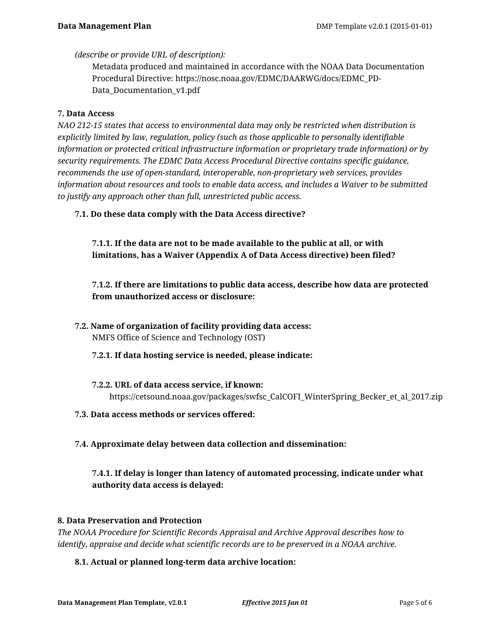*(describe or provide URL of description):*

Metadata produced and maintained in accordance with the NOAA Data Documentation Procedural Directive: https://nosc.noaa.gov/EDMC/DAARWG/docs/EDMC\_PD-Data Documentation v1.pdf

### **7. Data Access**

*NAO 212-15 states that access to environmental data may only be restricted when distribution is explicitly limited by law, regulation, policy (such as those applicable to personally identifiable information or protected critical infrastructure information or proprietary trade information) or by security requirements. The EDMC Data Access Procedural Directive contains specific guidance, recommends the use of open-standard, interoperable, non-proprietary web services, provides information about resources and tools to enable data access, and includes a Waiver to be submitted to justify any approach other than full, unrestricted public access.*

**7.1. Do these data comply with the Data Access directive?**

**7.1.1. If the data are not to be made available to the public at all, or with limitations, has a Waiver (Appendix A of Data Access directive) been filed?**

**7.1.2. If there are limitations to public data access, describe how data are protected from unauthorized access or disclosure:**

- **7.2. Name of organization of facility providing data access:** NMFS Office of Science and Technology (OST)
	- **7.2.1. If data hosting service is needed, please indicate:**
	- **7.2.2. URL of data access service, if known:** https://cetsound.noaa.gov/packages/swfsc\_CalCOFI\_WinterSpring\_Becker\_et\_al\_2017.zip
- **7.3. Data access methods or services offered:**
- **7.4. Approximate delay between data collection and dissemination:**

**7.4.1. If delay is longer than latency of automated processing, indicate under what authority data access is delayed:**

### **8. Data Preservation and Protection**

*The NOAA Procedure for Scientific Records Appraisal and Archive Approval describes how to identify, appraise and decide what scientific records are to be preserved in a NOAA archive.*

### **8.1. Actual or planned long-term data archive location:**